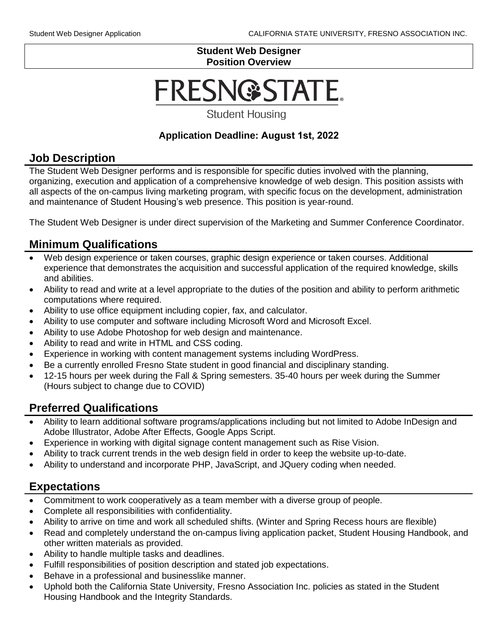#### **Student Web Designer Position Overview**

# FRESN@STATE.

**Student Housing** 

#### **Application Deadline: August 1st, 2022**

#### **Job Description**

The Student Web Designer performs and is responsible for specific duties involved with the planning, organizing, execution and application of a comprehensive knowledge of web design. This position assists with all aspects of the on-campus living marketing program, with specific focus on the development, administration and maintenance of Student Housing's web presence. This position is year-round.

The Student Web Designer is under direct supervision of the Marketing and Summer Conference Coordinator.

## **Minimum Qualifications**

- Web design experience or taken courses, graphic design experience or taken courses. Additional experience that demonstrates the acquisition and successful application of the required knowledge, skills and abilities.
- Ability to read and write at a level appropriate to the duties of the position and ability to perform arithmetic computations where required.
- Ability to use office equipment including copier, fax, and calculator.
- Ability to use computer and software including Microsoft Word and Microsoft Excel.
- Ability to use Adobe Photoshop for web design and maintenance.
- Ability to read and write in HTML and CSS coding.
- Experience in working with content management systems including WordPress.
- Be a currently enrolled Fresno State student in good financial and disciplinary standing.
- 12-15 hours per week during the Fall & Spring semesters. 35-40 hours per week during the Summer (Hours subject to change due to COVID)

## **Preferred Qualifications**

- Ability to learn additional software programs/applications including but not limited to Adobe InDesign and Adobe Illustrator, Adobe After Effects, Google Apps Script.
- Experience in working with digital signage content management such as Rise Vision.
- Ability to track current trends in the web design field in order to keep the website up-to-date.
- Ability to understand and incorporate PHP, JavaScript, and JQuery coding when needed.

## **Expectations**

- Commitment to work cooperatively as a team member with a diverse group of people.
- Complete all responsibilities with confidentiality.
- Ability to arrive on time and work all scheduled shifts. (Winter and Spring Recess hours are flexible)
- Read and completely understand the on-campus living application packet, Student Housing Handbook, and other written materials as provided.
- Ability to handle multiple tasks and deadlines.
- Fulfill responsibilities of position description and stated job expectations.
- Behave in a professional and businesslike manner.
- Uphold both the California State University, Fresno Association Inc. policies as stated in the Student Housing Handbook and the Integrity Standards.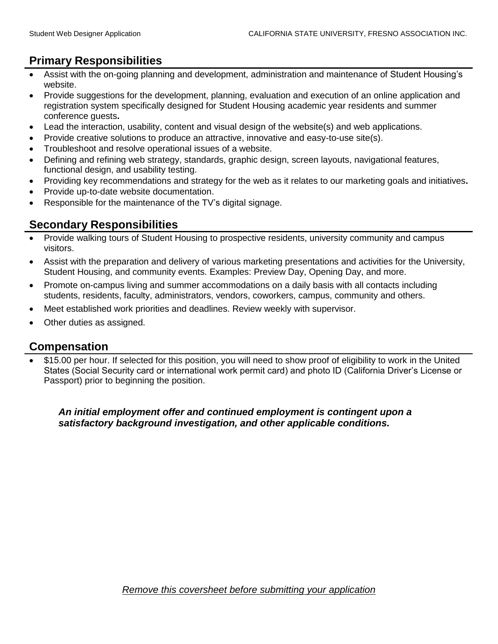# **Primary Responsibilities**

- Assist with the on-going planning and development, administration and maintenance of Student Housing's website.
- Provide suggestions for the development, planning, evaluation and execution of an online application and registration system specifically designed for Student Housing academic year residents and summer conference guests**.**
- Lead the interaction, usability, content and visual design of the website(s) and web applications.
- Provide creative solutions to produce an attractive, innovative and easy-to-use site(s).
- Troubleshoot and resolve operational issues of a website.
- Defining and refining web strategy, standards, graphic design, screen layouts, navigational features, functional design, and usability testing.
- Providing key recommendations and strategy for the web as it relates to our marketing goals and initiatives**.**
- Provide up-to-date website documentation.
- Responsible for the maintenance of the TV's digital signage.

## **Secondary Responsibilities**

- Provide walking tours of Student Housing to prospective residents, university community and campus visitors.
- Assist with the preparation and delivery of various marketing presentations and activities for the University, Student Housing, and community events. Examples: Preview Day, Opening Day, and more.
- Promote on-campus living and summer accommodations on a daily basis with all contacts including students, residents, faculty, administrators, vendors, coworkers, campus, community and others.
- Meet established work priorities and deadlines. Review weekly with supervisor.
- Other duties as assigned.

#### **Compensation**

• \$15.00 per hour. If selected for this position, you will need to show proof of eligibility to work in the United States (Social Security card or international work permit card) and photo ID (California Driver's License or Passport) prior to beginning the position.

*An initial employment offer and continued employment is contingent upon a satisfactory background investigation, and other applicable conditions.*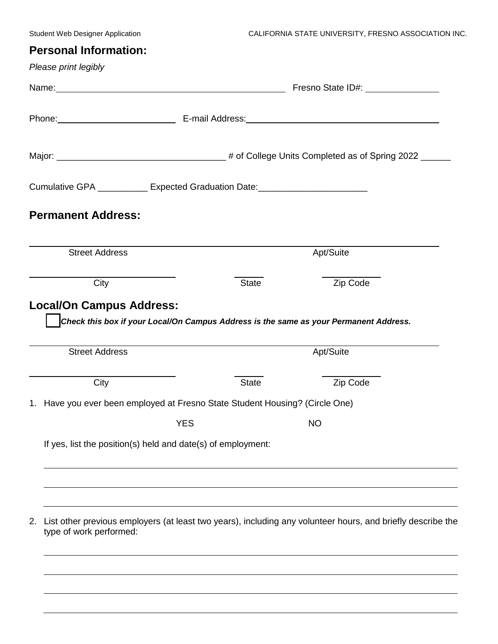## **Personal Information:**

|    | Please print legibly                                                                 |            |                                                                                                                                                                                                                                |                                                                                                                                                                                                                                |  |  |
|----|--------------------------------------------------------------------------------------|------------|--------------------------------------------------------------------------------------------------------------------------------------------------------------------------------------------------------------------------------|--------------------------------------------------------------------------------------------------------------------------------------------------------------------------------------------------------------------------------|--|--|
|    | Name: Name:                                                                          |            | Fresno State ID#: \\sqrting\\sqrting\sqrting\sqrting\sqrting\sqrting\sqrting\sqrting\sqrting\sqrting\sqrting\sqrting\sqrting\sqrting\sqrting\sqrting\sqrting\sqrting\sqrting\sqrting\sqrting\sqrting\sqrting\sqrting\sqrting\s |                                                                                                                                                                                                                                |  |  |
|    |                                                                                      |            |                                                                                                                                                                                                                                | Phone: Phone: 2000 Phone: 2000 Phone: 2010 Phone: 2010 Phone: 2010 Phone: 2010 Phone: 2010 Phone: 2010 Phone: 2010 Phone: 2010 Phone: 2010 Phone: 2010 Phone: 2010 Phone: 2010 Phone: 2010 Phone: 2010 Phone: 2010 Phone: 2010 |  |  |
|    |                                                                                      |            |                                                                                                                                                                                                                                |                                                                                                                                                                                                                                |  |  |
|    | Cumulative GPA ____________ Expected Graduation Date:___________________________     |            |                                                                                                                                                                                                                                |                                                                                                                                                                                                                                |  |  |
|    | <b>Permanent Address:</b>                                                            |            |                                                                                                                                                                                                                                |                                                                                                                                                                                                                                |  |  |
|    | <b>Street Address</b>                                                                |            |                                                                                                                                                                                                                                | Apt/Suite                                                                                                                                                                                                                      |  |  |
|    | City                                                                                 |            | <b>State</b>                                                                                                                                                                                                                   | Zip Code                                                                                                                                                                                                                       |  |  |
|    | <b>Street Address</b>                                                                |            | Apt/Suite                                                                                                                                                                                                                      |                                                                                                                                                                                                                                |  |  |
|    |                                                                                      |            |                                                                                                                                                                                                                                |                                                                                                                                                                                                                                |  |  |
|    | City<br>1. Have you ever been employed at Fresno State Student Housing? (Circle One) |            | <b>State</b>                                                                                                                                                                                                                   | Zip Code                                                                                                                                                                                                                       |  |  |
|    |                                                                                      | <b>YES</b> |                                                                                                                                                                                                                                | <b>NO</b>                                                                                                                                                                                                                      |  |  |
|    | If yes, list the position(s) held and date(s) of employment:                         |            |                                                                                                                                                                                                                                |                                                                                                                                                                                                                                |  |  |
|    |                                                                                      |            |                                                                                                                                                                                                                                |                                                                                                                                                                                                                                |  |  |
| 2. | type of work performed:                                                              |            |                                                                                                                                                                                                                                | List other previous employers (at least two years), including any volunteer hours, and briefly describe the                                                                                                                    |  |  |
|    |                                                                                      |            |                                                                                                                                                                                                                                |                                                                                                                                                                                                                                |  |  |
|    |                                                                                      |            |                                                                                                                                                                                                                                |                                                                                                                                                                                                                                |  |  |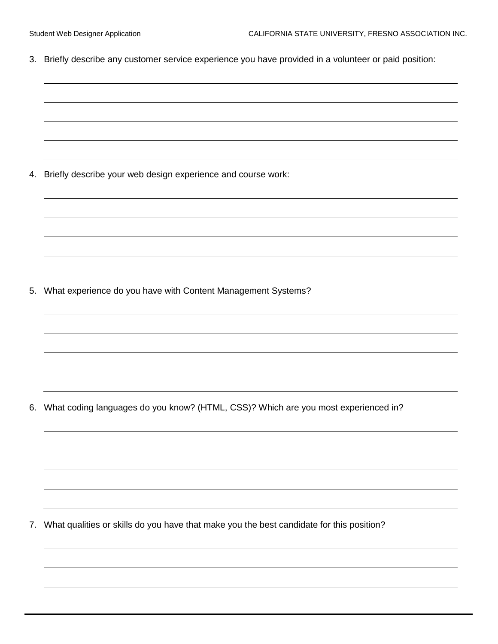3. Briefly describe any customer service experience you have provided in a volunteer or paid position:

4. Briefly describe your web design experience and course work:

5. What experience do you have with Content Management Systems?

6. What coding languages do you know? (HTML, CSS)? Which are you most experienced in?

7. What qualities or skills do you have that make you the best candidate for this position?